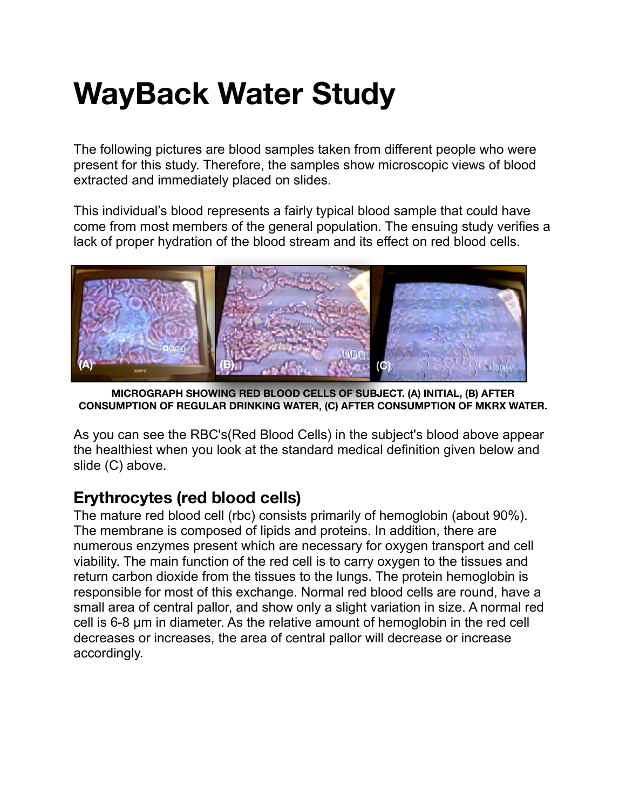# **WayBack Water Study**

The following pictures are blood samples taken from different people who were present for this study. Therefore, the samples show microscopic views of blood extracted and immediately placed on slides.

This individual's blood represents a fairly typical blood sample that could have come from most members of the general population. The ensuing study verifies a lack of proper hydration of the blood stream and its effect on red blood cells.



**MICROGRAPH SHOWING RED BLOOD CELLS OF SUBJECT. (A) INITIAL, (B) AFTER CONSUMPTION OF REGULAR DRINKING WATER, (C) AFTER CONSUMPTION OF MKRX WATER.** 

As you can see the RBC's(Red Blood Cells) in the subject's blood above appear the healthiest when you look at the standard medical definition given below and slide (C) above.

# **Erythrocytes (red blood cells)**

The mature red blood cell (rbc) consists primarily of hemoglobin (about 90%). The membrane is composed of lipids and proteins. In addition, there are numerous enzymes present which are necessary for oxygen transport and cell viability. The main function of the red cell is to carry oxygen to the tissues and return carbon dioxide from the tissues to the lungs. The protein hemoglobin is responsible for most of this exchange. Normal red blood cells are round, have a small area of central pallor, and show only a slight variation in size. A normal red cell is 6-8 µm in diameter. As the relative amount of hemoglobin in the red cell decreases or increases, the area of central pallor will decrease or increase accordingly.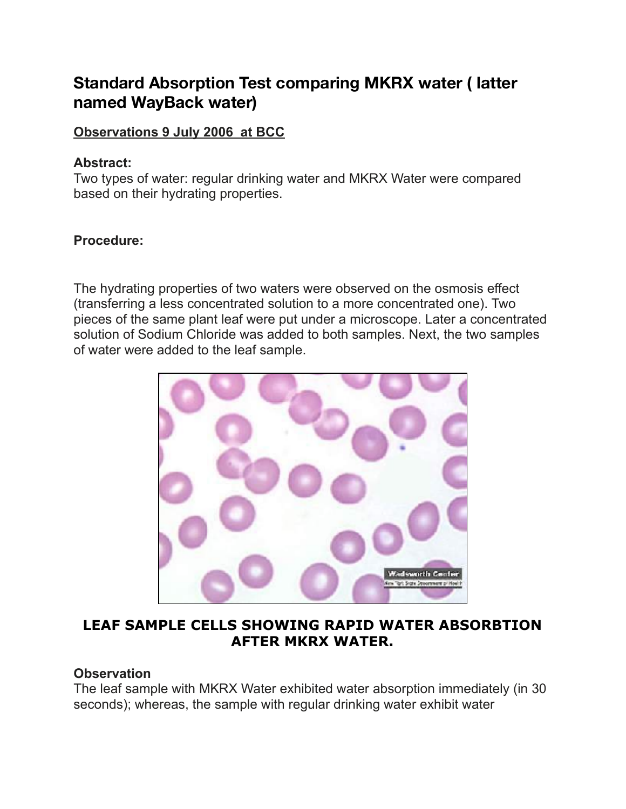# **Standard Absorption Test comparing MKRX water ( latter named WayBack water)**

## **Observations 9 July 2006 at BCC**

#### **Abstract:**

Two types of water: regular drinking water and MKRX Water were compared based on their hydrating properties.

## **Procedure:**

The hydrating properties of two waters were observed on the osmosis effect (transferring a less concentrated solution to a more concentrated one). Two pieces of the same plant leaf were put under a microscope. Later a concentrated solution of Sodium Chloride was added to both samples. Next, the two samples of water were added to the leaf sample.



## **LEAF SAMPLE CELLS SHOWING RAPID WATER ABSORBTION AFTER MKRX WATER.**

#### **Observation**

The leaf sample with MKRX Water exhibited water absorption immediately (in 30 seconds); whereas, the sample with regular drinking water exhibit water